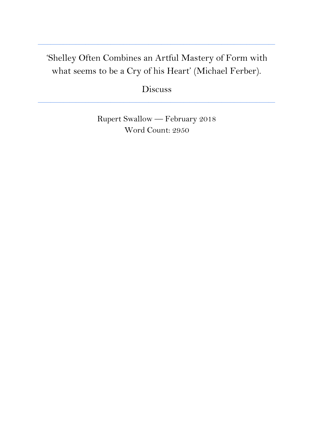# 'Shelley Often Combines an Artful Mastery of Form with what seems to be a Cry of his Heart' (Michael Ferber).

**\_\_\_\_\_\_\_\_\_\_\_\_\_\_\_\_\_\_\_\_\_\_\_\_\_\_\_\_\_\_\_\_\_\_\_\_\_\_\_\_\_\_\_\_\_\_\_\_\_\_\_\_\_\_\_\_\_\_\_\_\_\_\_\_\_\_\_\_\_\_\_\_\_\_\_**

Discuss

**\_\_\_\_\_\_\_\_\_\_\_\_\_\_\_\_\_\_\_\_\_\_\_\_\_\_\_\_\_\_\_\_\_\_\_\_\_\_\_\_\_\_\_\_\_\_\_\_\_\_\_\_\_\_\_\_\_\_\_\_\_\_\_\_\_\_\_\_\_\_\_\_\_\_\_**

Rupert Swallow — February 2018 Word Count: 2950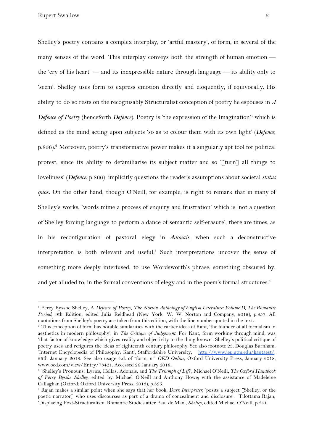Rupert Swallow 2

Shelley's poetry contains a complex interplay, or 'artful mastery', of form, in several of the many senses of the word. This interplay conveys both the strength of human emotion the 'cry of his heart' — and its inexpressible nature through language — its ability only to 'seem'. Shelley uses form to express emotion directly and eloquently, if equivocally. His ability to do so rests on the recognisably Structuralist conception of poetry he espouses in *A Defence of Poetry* (henceforth *Defence*). Poetry is 'the expression of the Imagination'<sup>1</sup> which is defined as the mind acting upon subjects 'so as to colour them with its own light' (*Defence*,  $p.856$ . Moreover, poetry's transformative power makes it a singularly apt tool for political protest, since its ability to defamiliarise its subject matter and so '[turn] all things to loveliness' (*Defence*, p.866) implicitly questions the reader's assumptions about societal *status quo*s. On the other hand, though O'Neill, for example, is right to remark that in many of Shelley's works, 'words mime a process of enquiry and frustration' which is 'not a question of Shelley forcing language to perform a dance of semantic self-erasure', there are times, as in his reconfiguration of pastoral elegy in *Adonais*, when such a deconstructive interpretation is both relevant and useful. $<sup>3</sup>$  Such interpretations uncover the sense of</sup> something more deeply interfused, to use Wordsworth's phrase, something obscured by, and yet alluded to, in the formal conventions of elegy and in the poem's formal structures.<sup>4</sup>

<sup>1</sup> Percy Bysshe Shelley, A *Defence of Poetry*, *The Norton Anthology of English Literature: Volume D, The Romantic Period*, 9th Edition, edited Julia Reidhead (New York: W. W. Norton and Company, 2012), p.857. All quotations from Shelley's poetry are taken from this edition, with the line number quoted in the text.

<sup>2</sup> This conception of form has notable similarities with the earlier ideas of Kant, 'the founder of all formalism in aesthetics in modern philosophy', in *The Critique of Judgement*. For Kant, form working through mind, was 'that factor of knowledge which gives reality and objectivity to the thing known'. Shelley's political critique of poetry uses and refigures the ideas of eighteenth century philosophy. See also footnote 23. Douglas Burnham, 'Internet Encyclopedia of Philosophy: Kant', Staffordshire University, [http://www.iep.utm.edu/kantaest/,](http://www.iep.utm.edu/kantaest/) 26th January 2018. See also usage 4.d. of "form, n." *OED Online*, Oxford University Press, January 2018, www.oed.com/view/Entry/73421. Accessed 26 January 2018.

<sup>3</sup> 'Shelley's Pronouns: Lyrics, Hellas, Adonais, and *The Triumph of Life*', Michael O'Neill, *The Oxford Handbook of Percy Bysshe Shelley,* edited by Michael O'Neill and Anthony Howe; with the assistance of Madeleine Callaghan (Oxford: Oxford University Press, 2013), p.395.

<sup>4</sup> Rajan makes a similar point when she says that her book, *Dark Interpreter,* 'posits a subject [Shelley, or the poetic narrator] who uses discourses as part of a drama of concealment and disclosure'. Tilottama Rajan, 'Displacing Post-Structuralism: Romantic Studies after Paul de Man', *Shelley*, edited Michael O'Neill, p.241.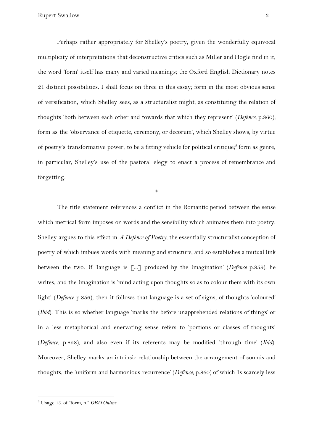Perhaps rather appropriately for Shelley's poetry, given the wonderfully equivocal multiplicity of interpretations that deconstructive critics such as Miller and Hogle find in it, the word 'form' itself has many and varied meanings; the Oxford English Dictionary notes 21 distinct possibilities. I shall focus on three in this essay; form in the most obvious sense of versification, which Shelley sees, as a structuralist might, as constituting the relation of thoughts 'both between each other and towards that which they represent' (*Defence*, p.860); form as the 'observance of etiquette, ceremony, or decorum', which Shelley shows, by virtue of poetry's transformative power, to be a fitting vehicle for political critique;<sup>5</sup> form as genre, in particular, Shelley's use of the pastoral elegy to enact a process of remembrance and forgetting.

\*

The title statement references a conflict in the Romantic period between the sense which metrical form imposes on words and the sensibility which animates them into poetry. Shelley argues to this effect in *A Defence of Poetry*, the essentially structuralist conception of poetry of which imbues words with meaning and structure, and so establishes a mutual link between the two. If 'language is [...] produced by the Imagination' (*Defence* p.859), he writes, and the Imagination is 'mind acting upon thoughts so as to colour them with its own light' (*Defence* p.856), then it follows that language is a set of signs, of thoughts 'coloured' (*Ibid*). This is so whether language 'marks the before unapprehended relations of things' or in a less metaphorical and enervating sense refers to 'portions or classes of thoughts' (*Defence*, p.858), and also even if its referents may be modified 'through time' (*Ibid*). Moreover, Shelley marks an intrinsic relationship between the arrangement of sounds and thoughts, the 'uniform and harmonious recurrence' (*Defence*, p.860) of which 'is scarcely less

<sup>5</sup> Usage 15. of "form, n." *OED Online*.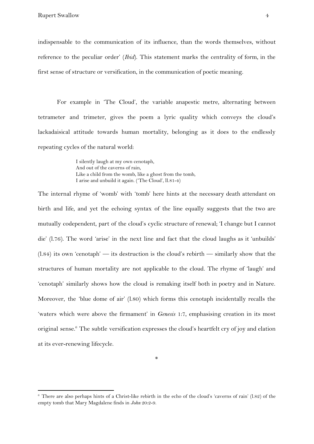indispensable to the communication of its influence, than the words themselves, without reference to the peculiar order' (*Ibid*). This statement marks the centrality of form, in the first sense of structure or versification, in the communication of poetic meaning.

For example in 'The Cloud', the variable anapestic metre, alternating between tetrameter and trimeter, gives the poem a lyric quality which conveys the cloud's lackadaisical attitude towards human mortality, belonging as it does to the endlessly repeating cycles of the natural world:

> I silently laugh at my own cenotaph, And out of the caverns of rain, Like a child from the womb, like a ghost from the tomb, I arise and unbuild it again. ('The Cloud', ll.81-4)

The internal rhyme of 'womb' with 'tomb' here hints at the necessary death attendant on birth and life, and yet the echoing syntax of the line equally suggests that the two are mutually codependent, part of the cloud's cyclic structure of renewal; 'I change but I cannot die' (l.76). The word 'arise' in the next line and fact that the cloud laughs as it 'unbuilds'  $(1.84)$  its own 'cenotaph' — its destruction is the cloud's rebirth — similarly show that the structures of human mortality are not applicable to the cloud. The rhyme of 'laugh' and 'cenotaph' similarly shows how the cloud is remaking itself both in poetry and in Nature. Moreover, the 'blue dome of air' (l.80) which forms this cenotaph incidentally recalls the 'waters which were above the firmament' in *Genesis* 1:7, emphasising creation in its most original sense.<sup> $6$ </sup> The subtle versification expresses the cloud's heartfelt cry of joy and elation at its ever-renewing lifecycle.

 $6$  There are also perhaps hints of a Christ-like rebirth in the echo of the cloud's 'caverns of rain' (1.82) of the empty tomb that Mary Magdalene finds in *John* 20:2-9.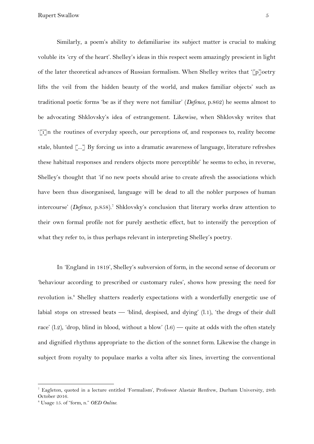Similarly, a poem's ability to defamiliarise its subject matter is crucial to making voluble its 'cry of the heart'. Shelley's ideas in this respect seem amazingly prescient in light of the later theoretical advances of Russian formalism. When Shelley writes that '[p]oetry lifts the veil from the hidden beauty of the world, and makes familiar objects' such as traditional poetic forms 'be as if they were not familiar' (*Defence*, p.862) he seems almost to be advocating Shklovsky's idea of estrangement. Likewise, when Shklovsky writes that '[i]n the routines of everyday speech, our perceptions of, and responses to, reality become stale, blunted [...] By forcing us into a dramatic awareness of language, literature refreshes these habitual responses and renders objects more perceptible' he seems to echo, in reverse, Shelley's thought that 'if no new poets should arise to create afresh the associations which have been thus disorganised, language will be dead to all the nobler purposes of human intercourse' (Defence, p.858).<sup>7</sup> Shklovsky's conclusion that literary works draw attention to their own formal profile not for purely aesthetic effect, but to intensify the perception of what they refer to, is thus perhaps relevant in interpreting Shelley's poetry.

In 'England in 1819', Shelley's subversion of form, in the second sense of decorum or 'behaviour according to prescribed or customary rules', shows how pressing the need for revolution is.<sup>8</sup> Shelley shatters readerly expectations with a wonderfully energetic use of labial stops on stressed beats — 'blind, despised, and dying' (l.1), 'the dregs of their dull race' (l.2), 'drop, blind in blood, without a blow' (l.6) — quite at odds with the often stately and dignified rhythms appropriate to the diction of the sonnet form. Likewise the change in subject from royalty to populace marks a volta after six lines, inverting the conventional

<sup>7</sup> Eagleton, quoted in a lecture entitled 'Formalism', Professor Alastair Renfrew, Durham University, 28th October 2016.

<sup>8</sup> Usage 15. of "form, n." *OED Online*.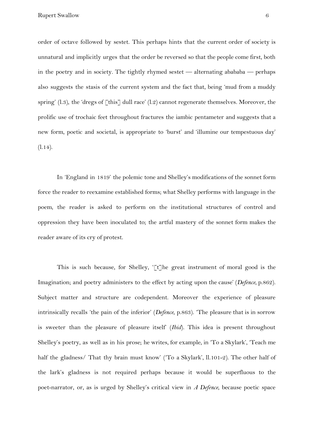order of octave followed by sestet. This perhaps hints that the current order of society is unnatural and implicitly urges that the order be reversed so that the people come first, both in the poetry and in society. The tightly rhymed sestet — alternating abababa — perhaps also suggests the stasis of the current system and the fact that, being 'mud from a muddy spring' (l.3), the 'dregs of  $\lceil \text{this} \rceil$  dull race' (l.2) cannot regenerate themselves. Moreover, the prolific use of trochaic feet throughout fractures the iambic pentameter and suggests that a new form, poetic and societal, is appropriate to 'burst' and 'illumine our tempestuous day'  $(1.14)$ .

In 'England in 1819' the polemic tone and Shelley's modifications of the sonnet form force the reader to reexamine established forms; what Shelley performs with language in the poem, the reader is asked to perform on the institutional structures of control and oppression they have been inoculated to; the artful mastery of the sonnet form makes the reader aware of its cry of protest.

This is such because, for Shelley, '[t]he great instrument of moral good is the Imagination; and poetry administers to the effect by acting upon the cause' (*Defence*, p.862). Subject matter and structure are codependent. Moreover the experience of pleasure intrinsically recalls 'the pain of the inferior' (*Defence*, p.863). 'The pleasure that is in sorrow is sweeter than the pleasure of pleasure itself' (*Ibid*). This idea is present throughout Shelley's poetry, as well as in his prose; he writes, for example, in 'To a Skylark', 'Teach me half the gladness/ That thy brain must know' ('To a Skylark', ll.101-2). The other half of the lark's gladness is not required perhaps because it would be superfluous to the poet-narrator, or, as is urged by Shelley's critical view in *A Defence*, because poetic space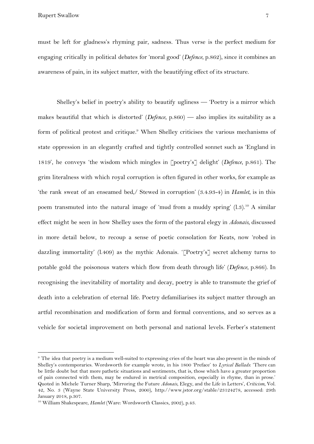Rupert Swallow 7

must be left for gladness's rhyming pair, sadness. Thus verse is the perfect medium for engaging critically in political debates for 'moral good' (*Defence*, p.862), since it combines an awareness of pain, in its subject matter, with the beautifying effect of its structure.

Shelley's belief in poetry's ability to beautify ugliness — 'Poetry is a mirror which makes beautiful that which is distorted' (*Defence*, p.860) — also implies its suitability as a form of political protest and critique.<sup>9</sup> When Shelley criticises the various mechanisms of state oppression in an elegantly crafted and tightly controlled sonnet such as 'England in 1819', he conveys 'the wisdom which mingles in [poetry's] delight' (*Defence*, p.861). The grim literalness with which royal corruption is often figured in other works, for example as 'the rank sweat of an enseamed bed,/ Stewed in corruption' (3.4.93-4) in *Hamlet*, is in this poem transmuted into the natural image of 'mud from a muddy spring'  $(1.3)$ .<sup>10</sup> A similar effect might be seen in how Shelley uses the form of the pastoral elegy in *Adonais*, discussed in more detail below, to recoup a sense of poetic consolation for Keats, now 'robed in dazzling immortality' (l.409) as the mythic Adonais. '[Poetry's] secret alchemy turns to potable gold the poisonous waters which flow from death through life' (*Defence*, p.866). In recognising the inevitability of mortality and decay, poetry is able to transmute the grief of death into a celebration of eternal life. Poetry defamiliarises its subject matter through an artful recombination and modification of form and formal conventions, and so serves as a vehicle for societal improvement on both personal and national levels. Ferber's statement

<sup>9</sup> The idea that poetry is a medium well-suited to expressing cries of the heart was also present in the minds of Shelley's contemporaries. Wordsworth for example wrote, in his 1800 'Preface' to *Lyrical Ballads*: 'There can be little doubt but that more pathetic situations and sentiments, that is, those which have a greater proportion of pain connected with them, may be endured in metrical composition, especially in rhyme, than in prose.' Quoted in Michele Turner Sharp, 'Mirroring the Future *Adonais*, Elegy, and the Life in Letters', *Criticism*, Vol. 42, No. 3 (Wayne State University Press, 2000), http://www.jstor.org/stable/23124278, accessed: 29th January 2018, p.307.

<sup>&</sup>lt;sup>10</sup> William Shakespeare, *Hamlet* (Ware: Wordsworth Classics, 2002), p.43.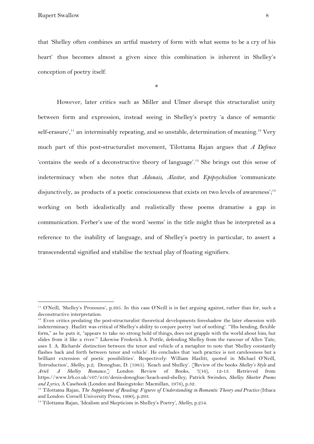Rupert Swallow 8

that 'Shelley often combines an artful mastery of form with what seems to be a cry of his heart' thus becomes almost a given since this combination is inherent in Shelley's conception of poetry itself.

\*

However, later critics such as Miller and Ulmer disrupt this structuralist unity between form and expression, instead seeing in Shelley's poetry 'a dance of semantic self-erasure',<sup>11</sup> an interminably repeating, and so unstable, determination of meaning.<sup>12</sup> Very much part of this post-structuralist movement, Tilottama Rajan argues that *A Defence* 'contains the seeds of a deconstructive theory of language'.<sup>13</sup> She brings out this sense of indeterminacy when she notes that *Adonais*, *Alastor*, and *Epipsychidion* 'communicate disjunctively, as products of a poetic consciousness that exists on two levels of awareness';<sup>14</sup> working on both idealistically and realistically these poems dramatise a gap in communication. Ferber's use of the word 'seems' in the title might thus be interpreted as a reference to the inability of language, and of Shelley's poetry in particular, to assert a transcendental signified and stabilise the textual play of floating signifiers.

<sup>11</sup> O'Neill, 'Shelley's Pronouns', p.395. In this case O'Neill is in fact arguing against, rather than for, such a deconstructive interpretation.

<sup>&</sup>lt;sup>12</sup> Even critics predating the post-structuralist theoretical developments foreshadow the later obsession with indeterminacy. Hazlitt was critical of Shelley's ability to conjure poetry 'out of nothing'. '"His bending, flexible form," as he puts it, "appears to take no strong hold of things, does not grapple with the world about him, but slides from it like a river."' Likewise Frederick A. Pottle, defending Shelley from the rancour of Allen Tate, uses I. A. Richards' distinction between the tenor and vehicle of a metaphor to note that 'Shelley constantly flashes back and forth between tenor and vehicle'. He concludes that 'such practice is not carelessness but a brilliant extension of poetic possibilities'. Respectively: William Hazlitt, quoted in Michael O'Neill, 'Introduction', *Shelley*, p.2; Donoghue, D. (1985). 'Keach and Shelley'. [Review of the books *Shelley's Style* and *Ariel: A Shelley Romance*.] London Review of Books, 7(16), 12-13. Retrieved from https://www.lrb.co.uk/v07/n16/denis-donoghue/keach-and-shelley; Patrick Swinden, *Shelley: Shorter Poems and Lyrics*, A Casebook (London and Basingstoke: Macmillan, 1976), p.32.

<sup>13</sup> Tilottama Rajan, *The Supplement of Reading: Figures of Understanding in Romantic Theory and Practice* (Ithaca and London: Cornell University Press, 1990), p.293.

<sup>14</sup> Tilottama Rajan, 'Idealism and Skepticism in Shelley's Poetry', *Shelley*, p.254.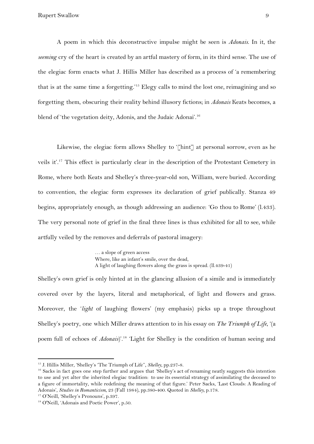A poem in which this deconstructive impulse might be seen is *Adonais*. In it, the *seeming* cry of the heart is created by an artful mastery of form, in its third sense. The use of the elegiac form enacts what J. Hillis Miller has described as a process of 'a remembering that is at the same time a forgetting.<sup>'15</sup> Elegy calls to mind the lost one, reimagining and so forgetting them, obscuring their reality behind illusory fictions; in *Adonais* Keats becomes, a blend of 'the vegetation deity, Adonis, and the Judaic Adonai'.<sup>16</sup>

Likewise, the elegiac form allows Shelley to '[hint] at personal sorrow, even as he veils it'.<sup>17</sup> This effect is particularly clear in the description of the Protestant Cemetery in Rome, where both Keats and Shelley's three-year-old son, William, were buried. According to convention, the elegiac form expresses its declaration of grief publically. Stanza 49 begins, appropriately enough, as though addressing an audience: 'Go thou to Rome' (l.433). The very personal note of grief in the final three lines is thus exhibited for all to see, while artfully veiled by the removes and deferrals of pastoral imagery:

> … a slope of green access Where, like an infant's smile, over the dead, A light of laughing flowers along the grass is spread. (ll.439-41)

Shelley's own grief is only hinted at in the glancing allusion of a simile and is immediately covered over by the layers, literal and metaphorical, of light and flowers and grass. Moreover, the '*light* of laughing flowers' (my emphasis) picks up a trope throughout Shelley's poetry, one which Miller draws attention to in his essay on *The Triumph of Life*, '(a poem full of echoes of *Adonais*)'.<sup>18</sup> 'Light for Shelley is the condition of human seeing and

<sup>15</sup> J. Hillis Miller, 'Shelley's 'The Triumph of Life'', *Shelley*, pp.237-8.

<sup>&</sup>lt;sup>16</sup> Sacks in fact goes one step further and argues that 'Shelley's act of renaming neatly suggests this intention to use and yet alter the inherited elegiac tradition: to use its essential strategy of assimilating the deceased to a figure of immortality, while redefining the meaning of that figure.' Peter Sacks, 'Last Clouds: A Reading of Adonais', *Studies in Romanticism*, 23 (Fall 1984), pp.380-400. Quoted in *Shelley,* p.178.

<sup>17</sup> O'Neill, 'Shelley's Pronouns', p.397.

<sup>&</sup>lt;sup>18</sup> O'Neill, 'Adonais and Poetic Power', p.50.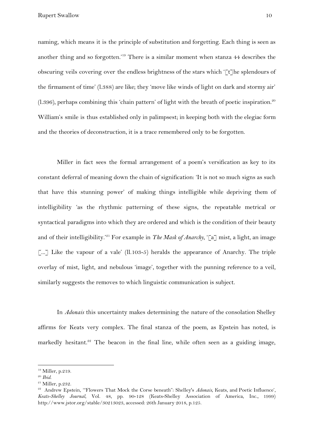naming, which means it is the principle of substitution and forgetting. Each thing is seen as another thing and so forgotten.'<sup>19</sup> There is a similar moment when stanza  $44$  describes the obscuring veils covering over the endless brightness of the stars which  $\lceil \mathbf{t} \rceil$  he splendours of the firmament of time' (l.388) are like; they 'move like winds of light on dark and stormy air'  $(1.396)$ , perhaps combining this 'chain pattern' of light with the breath of poetic inspiration.<sup>20</sup> William's smile is thus established only in palimpsest; in keeping both with the elegiac form and the theories of deconstruction, it is a trace remembered only to be forgotten.

Miller in fact sees the formal arrangement of a poem's versification as key to its constant deferral of meaning down the chain of signification: 'It is not so much signs as such that have this stunning power' of making things intelligible while depriving them of intelligibility 'as the rhythmic patterning of these signs, the repeatable metrical or syntactical paradigms into which they are ordered and which is the condition of their beauty and of their intelligibility.<sup>21</sup> For example in *The Mask of Anarchy*, '[a] mist, a light, an image [...] Like the vapour of a vale' (ll.103-5) heralds the appearance of Anarchy. The triple overlay of mist, light, and nebulous 'image', together with the punning reference to a veil, similarly suggests the removes to which linguistic communication is subject.

In *Adonais* this uncertainty makes determining the nature of the consolation Shelley affirms for Keats very complex. The final stanza of the poem, as Epstein has noted, is markedly hesitant.<sup>22</sup> The beacon in the final line, while often seen as a guiding image,

<sup>19</sup> Miller, p.219.

<sup>20</sup> *Ibid*.

<sup>21</sup> Miller, p.232.

<sup>22</sup> Andrew Epstein, '"Flowers That Mock the Corse beneath": Shelley's *Adonais*, Keats, and Poetic Influence', *Keats-Shelley Journal*, Vol. 48, pp. 90-128 (Keats-Shelley Association of America, Inc., 1999) http://www.jstor.org/stable/30213023, accessed: 26th January 2018, p.125.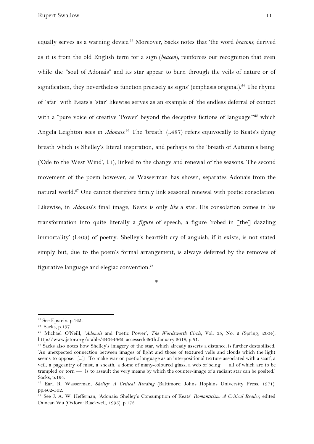equally serves as a warning device.<sup>23</sup> Moreover, Sacks notes that 'the word *beacons*, derived as it is from the old English term for a sign (*beacen*), reinforces our recognition that even while the "soul of Adonais" and its star appear to burn through the veils of nature or of signification, they nevertheless function precisely as signs' (emphasis original).<sup>24</sup> The rhyme of 'afar' with Keats's 'star' likewise serves as an example of 'the endless deferral of contact with a "pure voice of creative 'Power' beyond the deceptive fictions of language"<sup>25</sup> which Angela Leighton sees in *Adonais*.<sup>26</sup> The 'breath' (1.487) refers equivocally to Keats's dying breath which is Shelley's literal inspiration, and perhaps to the 'breath of Autumn's being' ('Ode to the West Wind', l.1), linked to the change and renewal of the seasons. The second movement of the poem however, as Wasserman has shown, separates Adonais from the natural world.<sup>27</sup> One cannot therefore firmly link seasonal renewal with poetic consolation. Likewise, in *Adonais*'s final image, Keats is only *like* a star. His consolation comes in his transformation into quite literally a *figure* of speech, a figure 'robed in [the] dazzling immortality' (l.409) of poetry. Shelley's heartfelt cry of anguish, if it exists, is not stated simply but, due to the poem's formal arrangement, is always deferred by the removes of figurative language and elegiac convention.<sup>28</sup>

\*

<sup>&</sup>lt;sup>23</sup> See Epstein, p.125.

<sup>24</sup> Sacks, p.197.

<sup>25</sup> Michael O'Neill, '*Adonais* and Poetic Power', *The Wordsworth Circle*, Vol. 35, No. 2 (Spring, 2004), http://www.jstor.org/stable/24044965, accessed: 26th January 2018, p.51.

<sup>&</sup>lt;sup>26</sup> Sacks also notes how Shelley's imagery of the star, which already asserts a distance, is further destabilised: 'An unexpected connection between images of light and those of textured veils and clouds which the light seems to oppose. [...] To make war on poetic language as an interpositional texture associated with a scarf, a veil, a pageantry of mist, a sheath, a dome of many-coloured glass, a web of being — all of which are to be trampled or torn — is to assault the very means by which the counter-image of a radiant star can be posited.' Sacks, p.194.

<sup>27</sup> Earl R. Wasserman, *Shelley: A Critical Reading* (Baltimore: Johns Hopkins University Press, 1971), pp.462-502.

<sup>28</sup> See J. A. W. Heffernan, 'Adonais: Shelley's Consumption of Keats' *Romanticism: A Critical Reader*, edited Duncan Wu (Oxford: Blackwell, 1995), p.173.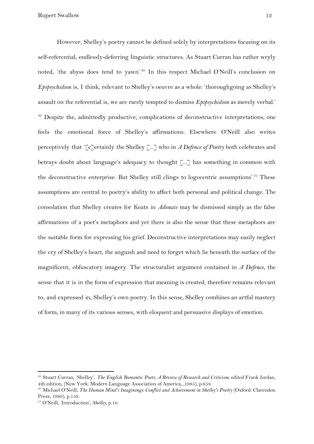However, Shelley's poetry cannot be defined solely by interpretations focusing on its self-referential, endlessly-deferring linguistic structures. As Stuart Curran has rather wryly noted, 'the abyss does tend to yawn'.<sup>29</sup> In this respect Michael O'Neill's conclusion on *Epipsychidion* is, I think, relevant to Shelley's oeuvre as a whole: 'thoroughgoing as Shelley's assault on the referential is, we are rarely tempted to dismiss *Epipsychidion* as merely verbal.'  $30$  Despite the, admittedly productive, complications of deconstructive interpretations, one feels the emotional force of Shelley's affirmations. Elsewhere O'Neill also writes perceptively that '[c]ertainly the Shelley [...] who in *A Defence of Poetry* both celebrates and betrays doubt about language's adequacy to thought  $\lceil ... \rceil$  has something in common with the deconstructive enterprise. But Shelley still clings to logocentric assumptions'.<sup>31</sup> These assumptions are central to poetry's ability to affect both personal and political change. The consolation that Shelley creates for Keats in *Adonais* may be dismissed simply as the false affirmations of a poet's metaphors and yet there is also the sense that these metaphors are the suitable form for expressing his grief. Deconstructive interpretations may easily neglect the cry of Shelley's heart, the anguish and need to forget which lie beneath the surface of the magnificent, obfuscatory imagery. The structuralist argument contained in *A Defence*, the sense that it is in the form of expression that meaning is created, therefore remains relevant to, and expressed in, Shelley's own poetry. In this sense, Shelley combines an artful mastery of form, in many of its various senses, with eloquent and persuasive displays of emotion.

<sup>29</sup> Stuart Curran, 'Shelley', *The English Romantic Poets: A Review of Research and Criticism*, edited Frank Jordan, 4th edition, (New York: Modern Language Association of America, ,1985), p.658.

<sup>30</sup> Michael O'Neill, *The Human Mind's Imaginings: Conflict and Achievement in Shelley's Poetry* (Oxford: Clarendon Press, 1989), p.159.

<sup>31</sup> O'Neill, 'Introduction', *Shelley,* p.10.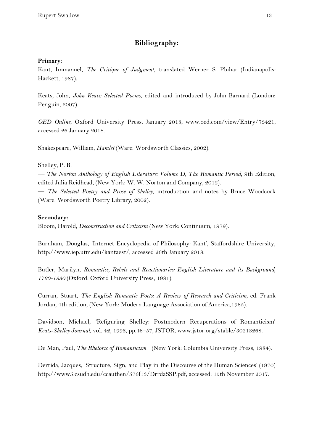# **Bibliography:**

## **Primary:**

Kant, Immanuel, *The Critique of Judgment*, translated Werner S. Pluhar (Indianapolis: Hackett, 1987).

Keats, John, *John Keats: Selected Poems*, edited and introduced by John Barnard (London: Penguin, 2007).

*OED Online*, Oxford University Press, January 2018, www.oed.com/view/Entry/73421, accessed 26 January 2018.

Shakespeare, William, *Hamlet* (Ware: Wordsworth Classics, 2002).

(Ware: Wordsworth Poetry Library, 2002).

### Shelley, P. B.

*— The Norton Anthology of English Literature: Volume D, The Romantic Period*, 9th Edition, edited Julia Reidhead, (New York: W. W. Norton and Company, 2012). — *The Selected Poetry and Prose of Shelley*, introduction and notes by Bruce Woodcock

### **Secondary:**

Bloom, Harold, *Deconstruction and Criticism* (New York: Continuum, 1979).

Burnham, Douglas, 'Internet Encyclopedia of Philosophy: Kant', Staffordshire University, http://www.iep.utm.edu/kantaest/, accessed 26th January 2018.

Butler, Marilyn, *Romantics, Rebels and Reactionaries: English Literature and its Background, 1760-1830* (Oxford: Oxford University Press, 1981).

Curran, Stuart, *The English Romantic Poets: A Review of Research and Criticism*, ed. Frank Jordan, 4th edition, (New York: Modern Language Association of America,1985).

Davidson, Michael, 'Refiguring Shelley: Postmodern Recuperations of Romanticism' *Keats-Shelley Journal*, vol. 42, 1993, pp.48–57, JSTOR, www.jstor.org/stable/30213268.

De Man, Paul, *The Rhetoric of Romanticism* (New York: Columbia University Press, 1984).

Derrida, Jacques, 'Structure, Sign, and Play in the Discourse of the Human Sciences' (1970) http://www5.csudh.edu/ccauthen/576f13/DrrdaSSP.pdf, accessed: 15th November 2017.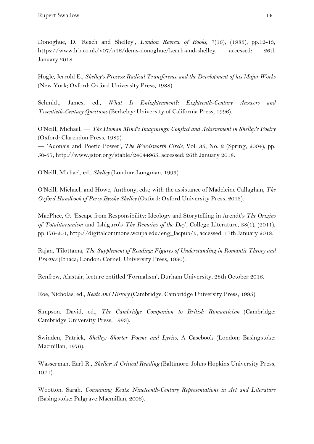Donoghue, D. 'Keach and Shelley', *London Review of Books*, 7(16), (1985), pp.12-13, https://www.lrb.co.uk/v07/n16/denis-donoghue/keach-and-shelley, accessed: 26th January 2018.

Hogle, Jerrold E., *Shelley's Process: Radical Transference and the Development of his Major Works* (New York; Oxford: Oxford University Press, 1988).

Schmidt, James, ed., *What Is Enlightenment?: Eighteenth-Century Answers and Twentieth-Century Questions* (Berkeley: University of California Press, 1996).

O'Neill, Michael, — *The Human Mind's Imaginings: Conflict and Achievement in Shelley's Poetry* (Oxford: Clarendon Press, 1989).

— 'Adonais and Poetic Power', *The Wordsworth Circle*, Vol. 35, No. 2 (Spring, 2004), pp. 50-57, http://www.jstor.org/stable/24044965, accessed: 26th January 2018.

O'Neill, Michael, ed., *Shelley* (London: Longman, 1993).

O'Neill, Michael, and Howe, Anthony, eds.; with the assistance of Madeleine Callaghan, *The Oxford Handbook of Percy Bysshe Shelley* (Oxford: Oxford University Press, 2013).

MacPhee, G. 'Escape from Responsibility: Ideology and Storytelling in Arendt's *The Origins of Totalitarianism* and Ishiguro's *The Remains of the Day*', College Literature, 38(1), (2011), pp.176-201, http://digitalcommons.wcupa.edu/eng\_facpub/5, accessed: 17th January 2018.

Rajan, Tilottama, *The Supplement of Reading: Figures of Understanding in Romantic Theory and Practice* (Ithaca; London: Cornell University Press, 1990).

Renfrew, Alastair, lecture entitled 'Formalism', Durham University, 28th October 2016.

Roe, Nicholas, ed., *Keats and History* (Cambridge: Cambridge University Press, 1995).

Simpson, David, ed., *The Cambridge Companion to British Romanticism* (Cambridge: Cambridge University Press, 1993).

Swinden, Patrick, *Shelley: Shorter Poems and Lyrics*, A Casebook (London; Basingstoke: Macmillan, 1976).

Wasserman, Earl R., *Shelley: A Critical Reading* (Baltimore: Johns Hopkins University Press, 1971).

Wootton, Sarah, *Consuming Keats: Nineteenth-Century Representations in Art and Literature* (Basingstoke: Palgrave Macmillan, 2006).